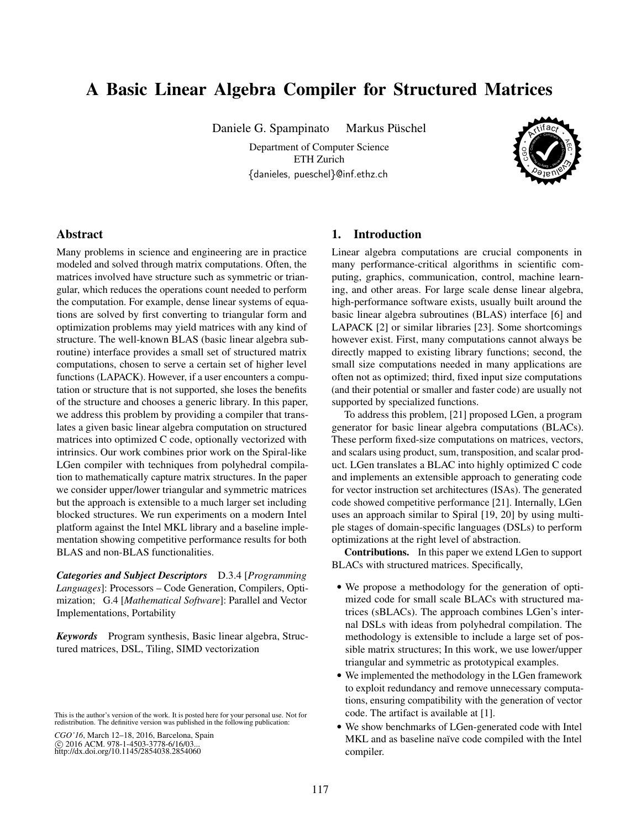# A Basic Linear Algebra Compiler for Structured Matrices

Daniele G. Spampinato Markus Püschel

Department of Computer Science ETH Zurich {danieles, pueschel}@inf.ethz.ch



## Abstract

Many problems in science and engineering are in practice modeled and solved through matrix computations. Often, the matrices involved have structure such as symmetric or triangular, which reduces the operations count needed to perform the computation. For example, dense linear systems of equations are solved by first converting to triangular form and optimization problems may yield matrices with any kind of structure. The well-known BLAS (basic linear algebra subroutine) interface provides a small set of structured matrix computations, chosen to serve a certain set of higher level functions (LAPACK). However, if a user encounters a computation or structure that is not supported, she loses the benefits of the structure and chooses a generic library. In this paper, we address this problem by providing a compiler that translates a given basic linear algebra computation on structured matrices into optimized C code, optionally vectorized with intrinsics. Our work combines prior work on the Spiral-like LGen compiler with techniques from polyhedral compilation to mathematically capture matrix structures. In the paper we consider upper/lower triangular and symmetric matrices but the approach is extensible to a much larger set including blocked structures. We run experiments on a modern Intel platform against the Intel MKL library and a baseline implementation showing competitive performance results for both BLAS and non-BLAS functionalities.

*Categories and Subject Descriptors* D.3.4 [*Programming Languages*]: Processors – Code Generation, Compilers, Optimization; G.4 [*Mathematical Software*]: Parallel and Vector Implementations, Portability

*Keywords* Program synthesis, Basic linear algebra, Structured matrices, DSL, Tiling, SIMD vectorization

*CGO'16*, March 12–18, 2016, Barcelona, Spain c 2016 ACM. 978-1-4503-3778-6/16/03. http://dx.doi.org/10.1145/2854038.2854060

## 1. Introduction

Linear algebra computations are crucial components in many performance-critical algorithms in scientific computing, graphics, communication, control, machine learning, and other areas. For large scale dense linear algebra, high-performance software exists, usually built around the basic linear algebra subroutines (BLAS) interface [6] and LAPACK [2] or similar libraries [23]. Some shortcomings however exist. First, many computations cannot always be directly mapped to existing library functions; second, the small size computations needed in many applications are often not as optimized; third, fixed input size computations (and their potential or smaller and faster code) are usually not supported by specialized functions.

To address this problem, [21] proposed LGen, a program generator for basic linear algebra computations (BLACs). These perform fixed-size computations on matrices, vectors, and scalars using product, sum, transposition, and scalar product. LGen translates a BLAC into highly optimized C code and implements an extensible approach to generating code for vector instruction set architectures (ISAs). The generated code showed competitive performance [21]. Internally, LGen uses an approach similar to Spiral [19, 20] by using multiple stages of domain-specific languages (DSLs) to perform optimizations at the right level of abstraction.

Contributions. In this paper we extend LGen to support BLACs with structured matrices. Specifically,

- We propose a methodology for the generation of optimized code for small scale BLACs with structured matrices (sBLACs). The approach combines LGen's internal DSLs with ideas from polyhedral compilation. The methodology is extensible to include a large set of possible matrix structures; In this work, we use lower/upper triangular and symmetric as prototypical examples.
- We implemented the methodology in the LGen framework to exploit redundancy and remove unnecessary computations, ensuring compatibility with the generation of vector code. The artifact is available at [1].
- We show benchmarks of LGen-generated code with Intel MKL and as baseline naïve code compiled with the Intel compiler.

This is the author's version of the work. It is posted here for your personal use. Not for redistribution. The definitive version was published in the following publication: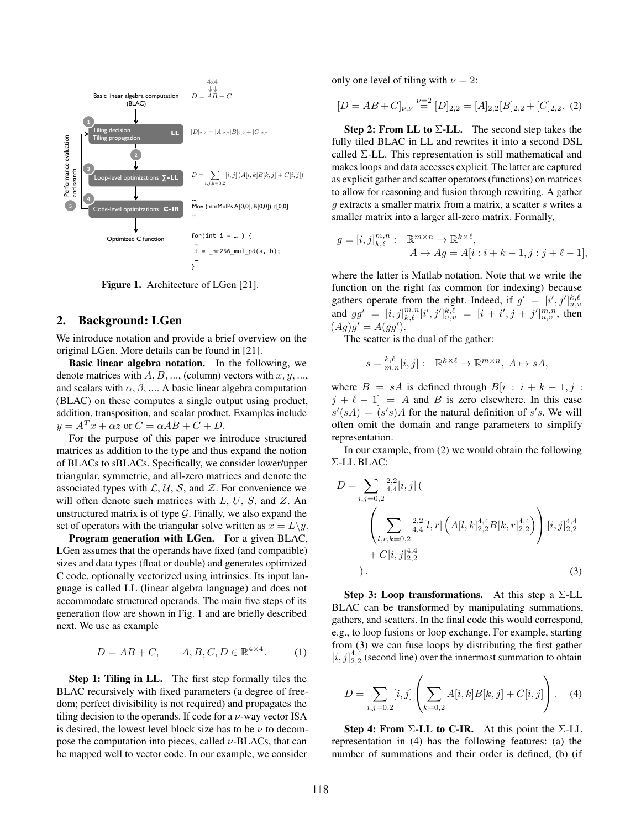

Figure 1. Architecture of LGen [21].

#### 2. Background: LGen

We introduce notation and provide a brief overview on the original LGen. More details can be found in [21].

Basic linear algebra notation. In the following, we denote matrices with  $A, B, \ldots$ , (column) vectors with  $x, y, \ldots$ , and scalars with  $\alpha$ ,  $\beta$ , .... A basic linear algebra computation (BLAC) on these computes a single output using product, addition, transposition, and scalar product. Examples include  $y = A<sup>T</sup> x + \alpha z$  or  $C = \alpha AB + C + D$ .

For the purpose of this paper we introduce structured matrices as addition to the type and thus expand the notion of BLACs to sBLACs. Specifically, we consider lower/upper triangular, symmetric, and all-zero matrices and denote the associated types with  $\mathcal{L}, \mathcal{U}, \mathcal{S}$ , and  $\mathcal{Z}$ . For convenience we will often denote such matrices with  $L, U, S$ , and  $Z$ . An unstructured matrix is of type  $G$ . Finally, we also expand the set of operators with the triangular solve written as  $x = L\backslash y$ .

Program generation with LGen. For a given BLAC, LGen assumes that the operands have fixed (and compatible) sizes and data types (float or double) and generates optimized C code, optionally vectorized using intrinsics. Its input language is called LL (linear algebra language) and does not accommodate structured operands. The main five steps of its generation flow are shown in Fig. 1 and are briefly described next. We use as example

$$
D = AB + C, \qquad A, B, C, D \in \mathbb{R}^{4 \times 4}.
$$
 (1)

Step 1: Tiling in LL. The first step formally tiles the BLAC recursively with fixed parameters (a degree of freedom; perfect divisibility is not required) and propagates the tiling decision to the operands. If code for a  $\nu$ -way vector ISA is desired, the lowest level block size has to be  $\nu$  to decompose the computation into pieces, called  $\nu$ -BLACs, that can be mapped well to vector code. In our example, we consider only one level of tiling with  $\nu = 2$ :

$$
[D = AB + C]_{\nu,\nu} \stackrel{\nu=2}{=} [D]_{2,2} = [A]_{2,2}[B]_{2,2} + [C]_{2,2}. (2)
$$

**Step 2: From LL to**  $\Sigma$ **-LL.** The second step takes the fully tiled BLAC in LL and rewrites it into a second DSL called Σ-LL. This representation is still mathematical and makes loops and data accesses explicit. The latter are captured as explicit gather and scatter operators (functions) on matrices to allow for reasoning and fusion through rewriting. A gather g extracts a smaller matrix from a matrix, a scatter s writes a smaller matrix into a larger all-zero matrix. Formally,

$$
g = [i, j]_{k,\ell}^{m,n} : \mathbb{R}^{m \times n} \to \mathbb{R}^{k \times \ell},
$$
  

$$
A \mapsto Ag = A[i : i + k - 1, j : j + \ell - 1],
$$

where the latter is Matlab notation. Note that we write the function on the right (as common for indexing) because gathers operate from the right. Indeed, if  $g' = [i', j']_{u,v}^{k,\ell}$ and  $gg' = [i, j]_{k,\ell}^{m,n} [i', j']_{u,v}^{k,\ell} = [i + i', j + j']_{u,v}^{m,n}$ , then  $(Ag)g' = A(gg').$ 

The scatter is the dual of the gather:

$$
s = {}_{m,n}^{k,\ell}[i,j]: \mathbb{R}^{k \times \ell} \to \mathbb{R}^{m \times n}, A \mapsto sA,
$$

where  $B = sA$  is defined through  $B[i : i + k - 1, j]$ :  $j + \ell - 1 = A$  and B is zero elsewhere. In this case  $s'(sA) = (s's)A$  for the natural definition of s's. We will often omit the domain and range parameters to simplify representation.

In our example, from (2) we would obtain the following Σ-LL BLAC:

$$
D = \sum_{i,j=0,2} {}^{2,2}_{4,4}[i,j] \left( \sum_{l,r,k=0,2} {}^{2,2}_{4,4}[l,r] \left( A[l,k]_{2,2}^{4,4} B[k,r]_{2,2}^{4,4} \right) \right) [i,j]_{2,2}^{4,4} + C[i,j]_{2,2}^{4,4} + \dots
$$
\n
$$
(3)
$$

Step 3: Loop transformations. At this step a  $\Sigma$ -LL BLAC can be transformed by manipulating summations, gathers, and scatters. In the final code this would correspond, e.g., to loop fusions or loop exchange. For example, starting from (3) we can fuse loops by distributing the first gather  $[i, j]_{2,2}^{4,4}$  (second line) over the innermost summation to obtain

$$
D = \sum_{i,j=0,2} [i,j] \left( \sum_{k=0,2} A[i,k] B[k,j] + C[i,j] \right).
$$
 (4)

Step 4: From  $\Sigma$ -LL to C-IR. At this point the  $\Sigma$ -LL representation in (4) has the following features: (a) the number of summations and their order is defined, (b) (if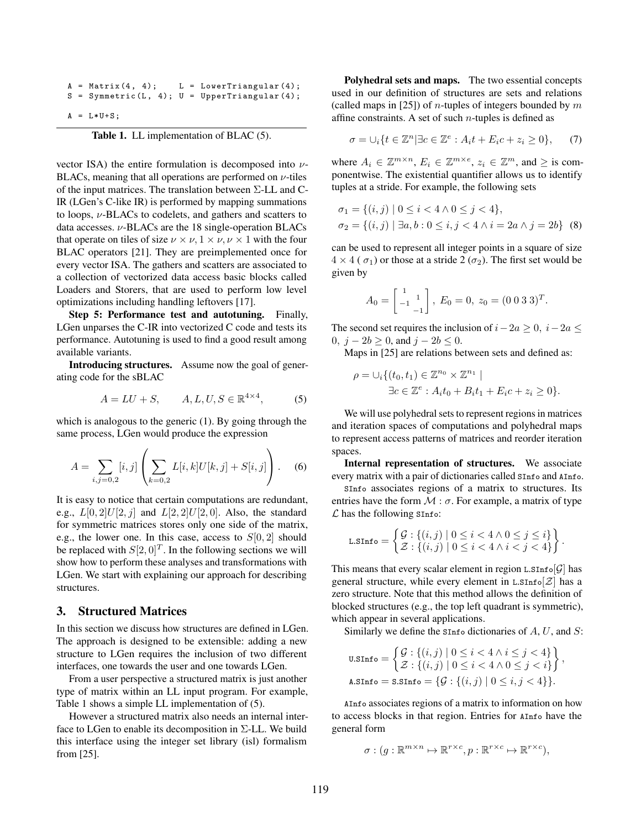```
A = Matrix(4, 4); L = LowerTriangular(4);S = Symmetric (L, 4); U = UpperTriangular (4);A = L*U+S;
```
Table 1. LL implementation of BLAC (5).

vector ISA) the entire formulation is decomposed into  $\nu$ -BLACs, meaning that all operations are performed on  $\nu$ -tiles of the input matrices. The translation between Σ-LL and C-IR (LGen's C-like IR) is performed by mapping summations to loops,  $\nu$ -BLACs to codelets, and gathers and scatters to data accesses.  $\nu$ -BLACs are the 18 single-operation BLACs that operate on tiles of size  $\nu \times \nu$ ,  $1 \times \nu$ ,  $\nu \times 1$  with the four BLAC operators [21]. They are preimplemented once for every vector ISA. The gathers and scatters are associated to a collection of vectorized data access basic blocks called Loaders and Storers, that are used to perform low level optimizations including handling leftovers [17].

Step 5: Performance test and autotuning. Finally, LGen unparses the C-IR into vectorized C code and tests its performance. Autotuning is used to find a good result among available variants.

Introducing structures. Assume now the goal of generating code for the sBLAC

$$
A = LU + S, \qquad A, L, U, S \in \mathbb{R}^{4 \times 4}, \tag{5}
$$

which is analogous to the generic (1). By going through the same process, LGen would produce the expression

$$
A = \sum_{i,j=0,2} [i,j] \left( \sum_{k=0,2} L[i,k]U[k,j] + S[i,j] \right).
$$
 (6)

It is easy to notice that certain computations are redundant, e.g.,  $L[0, 2]U[2, j]$  and  $L[2, 2]U[2, 0]$ . Also, the standard for symmetric matrices stores only one side of the matrix, e.g., the lower one. In this case, access to  $S[0, 2]$  should be replaced with  $S[2,0]^T$ . In the following sections we will show how to perform these analyses and transformations with LGen. We start with explaining our approach for describing structures.

## 3. Structured Matrices

In this section we discuss how structures are defined in LGen. The approach is designed to be extensible: adding a new structure to LGen requires the inclusion of two different interfaces, one towards the user and one towards LGen.

From a user perspective a structured matrix is just another type of matrix within an LL input program. For example, Table 1 shows a simple LL implementation of (5).

However a structured matrix also needs an internal interface to LGen to enable its decomposition in  $\Sigma$ -LL. We build this interface using the integer set library (isl) formalism from [25].

Polyhedral sets and maps. The two essential concepts used in our definition of structures are sets and relations (called maps in [25]) of *n*-tuples of integers bounded by  $m$ affine constraints. A set of such  $n$ -tuples is defined as

$$
\sigma = \bigcup_i \{ t \in \mathbb{Z}^n \, | \, \exists c \in \mathbb{Z}^e : A_i t + E_i c + z_i \ge 0 \}, \qquad (7)
$$

where  $A_i \in \mathbb{Z}^{m \times n}$ ,  $E_i \in \mathbb{Z}^{m \times e}$ ,  $z_i \in \mathbb{Z}^m$ , and  $\geq$  is componentwise. The existential quantifier allows us to identify tuples at a stride. For example, the following sets

$$
\sigma_1 = \{(i, j) \mid 0 \le i < 4 \land 0 \le j < 4\},\
$$
  

$$
\sigma_2 = \{(i, j) \mid \exists a, b : 0 \le i, j < 4 \land i = 2a \land j = 2b\}
$$
 (8)

can be used to represent all integer points in a square of size  $4 \times 4$  (  $\sigma_1$ ) or those at a stride 2 ( $\sigma_2$ ). The first set would be given by

$$
A_0 = \begin{bmatrix} 1 & 1 \\ -1 & -1 \end{bmatrix}, E_0 = 0, z_0 = (0 \ 0 \ 3 \ 3)^T.
$$

The second set requires the inclusion of  $i-2a \geq 0$ ,  $i-2a \leq$ 0,  $j - 2b \ge 0$ , and  $j - 2b \le 0$ .

Maps in [25] are relations between sets and defined as:

$$
\rho = \bigcup_i \{ (t_0, t_1) \in \mathbb{Z}^{n_0} \times \mathbb{Z}^{n_1} \mid
$$
  
\n
$$
\exists c \in \mathbb{Z}^e : A_i t_0 + B_i t_1 + E_i c + z_i \ge 0 \}.
$$

We will use polyhedral sets to represent regions in matrices and iteration spaces of computations and polyhedral maps to represent access patterns of matrices and reorder iteration spaces.

Internal representation of structures. We associate every matrix with a pair of dictionaries called SInfo and AInfo.

SInfo associates regions of a matrix to structures. Its entries have the form  $M : \sigma$ . For example, a matrix of type  $\mathcal L$  has the following SInfo:

$$
\text{L.SInfo} = \left\{ \begin{aligned} & \mathcal{G} : \{ (i,j) \mid 0 \leq i < 4 \land 0 \leq j \leq i \} \\ & \mathcal{Z} : \{ (i,j) \mid 0 \leq i < 4 \land i < j < 4 \} \end{aligned} \right\}.
$$

This means that every scalar element in region  $\text{L}. \text{SInf}\circ[\mathcal{G}]$  has general structure, while every element in L.SInfo $[\mathcal{Z}]$  has a zero structure. Note that this method allows the definition of blocked structures (e.g., the top left quadrant is symmetric), which appear in several applications.

Similarly we define the  $s$ Info dictionaries of  $A, U$ , and  $S$ :

$$
\text{u.SInfo} = \left\{ \begin{aligned} & \mathcal{G} : \{ (i,j) \mid 0 \leq i < 4 \land i \leq j < 4 \} \\ & \mathcal{Z} : \{ (i,j) \mid 0 \leq i < 4 \land 0 \leq j < i \} \end{aligned} \right\},
$$
\n
$$
\text{a.SInfo} = \text{S.SInfo} = \{ \mathcal{G} : \{ (i,j) \mid 0 \leq i, j < 4 \} \}.
$$

AInfo associates regions of a matrix to information on how to access blocks in that region. Entries for AInfo have the general form

$$
\sigma: (g: \mathbb{R}^{m \times n} \mapsto \mathbb{R}^{r \times c}, p: \mathbb{R}^{r \times c} \mapsto \mathbb{R}^{r \times c}),
$$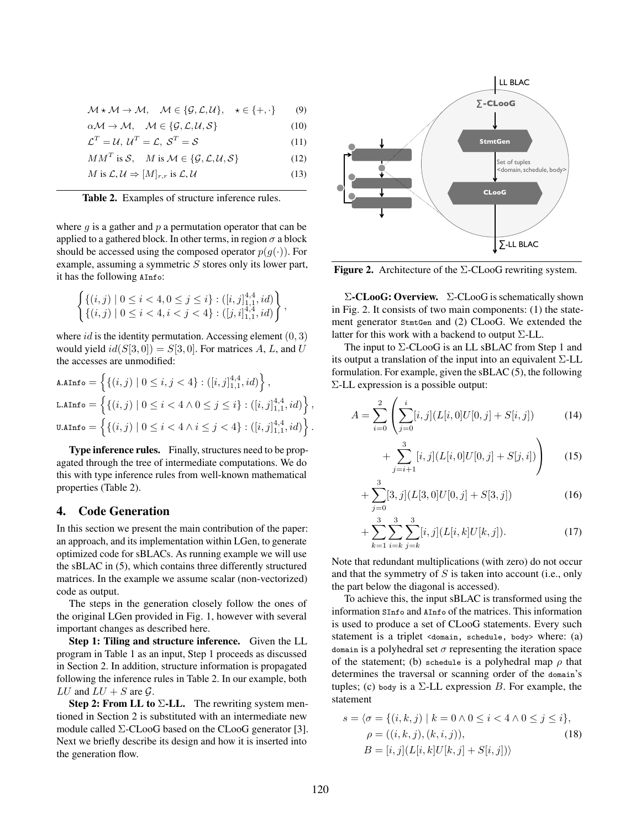$$
\mathcal{M} \star \mathcal{M} \to \mathcal{M}, \quad \mathcal{M} \in \{\mathcal{G}, \mathcal{L}, \mathcal{U}\}, \quad \star \in \{+, \cdot\} \tag{9}
$$

$$
\alpha \mathcal{M} \to \mathcal{M}, \quad \mathcal{M} \in \{\mathcal{G}, \mathcal{L}, \mathcal{U}, \mathcal{S}\} \tag{10}
$$

$$
\mathcal{L}^T = \mathcal{U}, \ \mathcal{U}^T = \mathcal{L}, \ \mathcal{S}^T = \mathcal{S} \tag{11}
$$

$$
MM^T \text{ is } \mathcal{S}, \quad M \text{ is } \mathcal{M} \in \{ \mathcal{G}, \mathcal{L}, \mathcal{U}, \mathcal{S} \} \tag{12}
$$

$$
M \text{ is } \mathcal{L}, \mathcal{U} \Rightarrow [M]_{r,r} \text{ is } \mathcal{L}, \mathcal{U}
$$
\n
$$
(13)
$$

Table 2. Examples of structure inference rules.

where  $q$  is a gather and  $p$  a permutation operator that can be applied to a gathered block. In other terms, in region  $\sigma$  a block should be accessed using the composed operator  $p(g(\cdot))$ . For example, assuming a symmetric  $S$  stores only its lower part, it has the following AInfo:

$$
\begin{cases} \{(i,j)\mid 0\leq i<4, 0\leq j\leq i\}:([i,j]_{1,1}^{4,4},id) \\ \{(i,j)\mid 0\leq i<4, i< j<4\}:([j,i]_{1,1}^{4,4},id)\end{cases}
$$

,

where id is the identity permutation. Accessing element  $(0, 3)$ would yield  $id(S[3, 0]) = S[3, 0]$ . For matrices A, L, and U the accesses are unmodified:

$$
\begin{aligned}\n\mathtt{A}.\mathtt{AInfo} &= \left\{ \{ (i,j) \mid 0 \le i,j < 4 \} : ([i,j]_{1,1}^{4,4},id) \right\}, \\
\mathtt{L}.\mathtt{AInfo} &= \left\{ \{ (i,j) \mid 0 \le i < 4 \land 0 \le j \le i \} : ([i,j]_{1,1}^{4,4},id) \right\}, \\
\mathtt{U}.\mathtt{AInfo} &= \left\{ \{ (i,j) \mid 0 \le i < 4 \land i \le j < 4 \} : ([i,j]_{1,1}^{4,4},id) \right\}.\n\end{aligned}
$$

Type inference rules. Finally, structures need to be propagated through the tree of intermediate computations. We do this with type inference rules from well-known mathematical properties (Table 2).

# 4. Code Generation

In this section we present the main contribution of the paper: an approach, and its implementation within LGen, to generate optimized code for sBLACs. As running example we will use the sBLAC in (5), which contains three differently structured matrices. In the example we assume scalar (non-vectorized) code as output.

The steps in the generation closely follow the ones of the original LGen provided in Fig. 1, however with several important changes as described here.

Step 1: Tiling and structure inference. Given the LL program in Table 1 as an input, Step 1 proceeds as discussed in Section 2. In addition, structure information is propagated following the inference rules in Table 2. In our example, both LU and  $LU + S$  are  $\mathcal{G}$ .

Step 2: From LL to  $\Sigma$ -LL. The rewriting system mentioned in Section 2 is substituted with an intermediate new module called  $\Sigma$ -CLooG based on the CLooG generator [3]. Next we briefly describe its design and how it is inserted into the generation flow.



Figure 2. Architecture of the Σ-CLooG rewriting system.

 $\Sigma$ -CLooG: Overview.  $\Sigma$ -CLooG is schematically shown in Fig. 2. It consists of two main components: (1) the statement generator StmtGen and (2) CLooG. We extended the latter for this work with a backend to output  $\Sigma$ -LL.

The input to Σ-CLooG is an LL sBLAC from Step 1 and its output a translation of the input into an equivalent Σ-LL formulation. For example, given the sBLAC (5), the following Σ-LL expression is a possible output:

$$
A = \sum_{i=0}^{2} \left( \sum_{j=0}^{i} [i,j] (L[i,0]U[0,j] + S[i,j]) \right) \tag{14}
$$

$$
+\sum_{j=i+1}^{3} [i,j](L[i,0]U[0,j] + S[j,i])\Bigg) \qquad (15)
$$

$$
+\sum_{j=0}^{3} [3,j](L[3,0]U[0,j]+S[3,j])
$$
\n(16)

$$
+\sum_{k=1}^{3}\sum_{i=k}^{3}\sum_{j=k}^{3}[i,j](L[i,k]U[k,j]).
$$
\n(17)

Note that redundant multiplications (with zero) do not occur and that the symmetry of  $S$  is taken into account (i.e., only the part below the diagonal is accessed).

To achieve this, the input sBLAC is transformed using the information SInfo and AInfo of the matrices. This information is used to produce a set of CLooG statements. Every such statement is a triplet <domain, schedule, body> where: (a) domain is a polyhedral set  $\sigma$  representing the iteration space of the statement; (b) schedule is a polyhedral map  $\rho$  that determines the traversal or scanning order of the domain's tuples; (c) body is a  $\Sigma$ -LL expression B. For example, the statement

$$
s = \langle \sigma = \{ (i, k, j) \mid k = 0 \land 0 \le i < 4 \land 0 \le j \le i \},
$$
  
\n
$$
\rho = ((i, k, j), (k, i, j)),
$$
  
\n
$$
B = [i, j] (L[i, k] U[k, j] + S[i, j]) \rangle
$$
\n(18)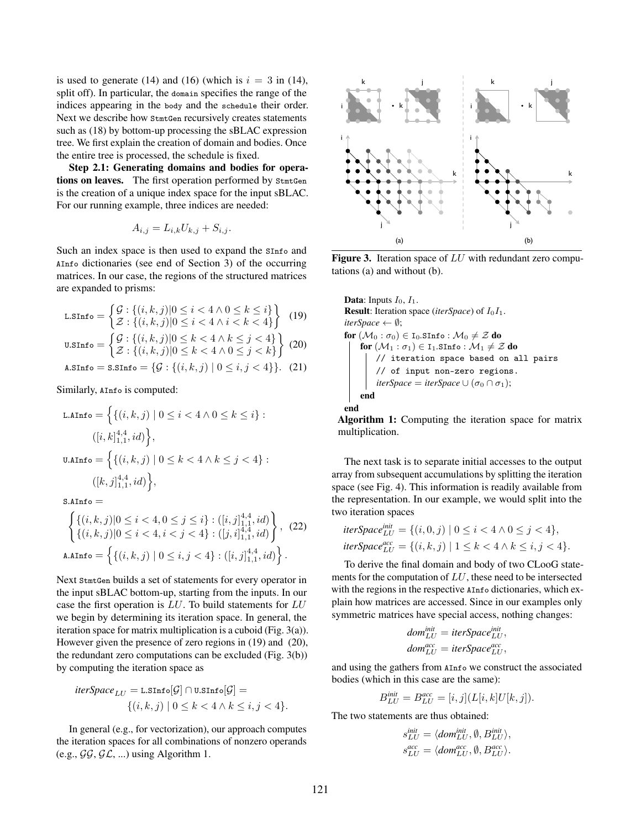is used to generate (14) and (16) (which is  $i = 3$  in (14), split off). In particular, the domain specifies the range of the indices appearing in the body and the schedule their order. Next we describe how StmtGen recursively creates statements such as (18) by bottom-up processing the sBLAC expression tree. We first explain the creation of domain and bodies. Once the entire tree is processed, the schedule is fixed.

Step 2.1: Generating domains and bodies for operations on leaves. The first operation performed by StmtGen is the creation of a unique index space for the input sBLAC. For our running example, three indices are needed:

$$
A_{i,j} = L_{i,k} U_{k,j} + S_{i,j}.
$$

Such an index space is then used to expand the SInfo and AInfo dictionaries (see end of Section 3) of the occurring matrices. In our case, the regions of the structured matrices are expanded to prisms:

$$
\text{L}.SInfo = \begin{cases} \mathcal{G} : \{(i, k, j) | 0 \le i < 4 \land 0 \le k \le i\} \\ \mathcal{Z} : \{(i, k, j) | 0 \le i < 4 \land i < k < 4\} \end{cases} \tag{19}
$$

$$
\text{u}.s \text{Info} = \begin{cases} \mathcal{G} : \{ (i, k, j) | 0 \le k < 4 \land k \le j < 4 \} \\ \mathcal{Z} : \{ (i, k, j) | 0 \le k < 4 \land 0 \le j < k \} \end{cases} \tag{20}
$$
\n
$$
\text{a}.s \text{Info} = \text{s}.s \text{Info} = \{ \mathcal{G} : \{ (i, k, j) | 0 \le i, j < 4 \} \}. \tag{21}
$$

Similarly, AInfo is computed:

$$
\text{L.AInfo} = \left\{ \{ (i, k, j) \mid 0 \le i < 4 \land 0 \le k \le i \} : \right.
$$
\n
$$
([i, k]_{1,1}^{4,4}, id) \right\},
$$
\n
$$
\text{U.AInfo} = \left\{ \{ (i, k, j) \mid 0 \le k < 4 \land k \le j < 4 \} : \right.
$$
\n
$$
([k, j]_{1,1}^{4,4}, id) \right\},
$$

 $S$  AInfo  $=$ 

$$
\left\{ \begin{aligned} &\{(i,k,j)|0 \leq i < 4, 0 \leq j \leq i\} : ([i,j]_{1,1}^{4,4}, id) \\ &\{(i,k,j)|0 \leq i < 4, i < j < 4\} : ([j,i]_{1,1}^{4,4}, id) \end{aligned} \right\}, (22)
$$
\n
$$
\text{A.AInfo} = \left\{ \{ (i,k,j) \mid 0 \leq i,j < 4 \} : ([i,j]_{1,1}^{4,4}, id) \right\}.
$$

Next StmtGen builds a set of statements for every operator in the input sBLAC bottom-up, starting from the inputs. In our case the first operation is LU. To build statements for LU we begin by determining its iteration space. In general, the iteration space for matrix multiplication is a cuboid (Fig. 3(a)). However given the presence of zero regions in (19) and (20), the redundant zero computations can be excluded (Fig. 3(b)) by computing the iteration space as

$$
iterSpace_{LU} = \texttt{l.sInfo}[\mathcal{G}] \cap \texttt{u.sInfo}[\mathcal{G}] =
$$

$$
\{(i,k,j) \mid 0 \le k < 4 \land k \le i, j < 4\}.
$$

In general (e.g., for vectorization), our approach computes the iteration spaces for all combinations of nonzero operands (e.g.,  $\mathcal{G}\mathcal{G}, \mathcal{G}\mathcal{L}, \ldots$ ) using Algorithm 1.



**Figure 3.** Iteration space of  $LU$  with redundant zero computations (a) and without (b).

**Data:** Inputs 
$$
I_0
$$
,  $I_1$ .  
\n**Result:** Iteration space *(iterSpace)* of  $I_0I_1$ .  
\n*iterSpace*  $\leftarrow$   $\emptyset$ ;  
\n**for**  $(\mathcal{M}_0 : \sigma_0) \in I_0$ .  $SInfo : \mathcal{M}_0 \neq \mathcal{Z}$  **do**  
\n**for**  $(\mathcal{M}_1 : \sigma_1) \in I_1$ .  $SInfo : \mathcal{M}_1 \neq \mathcal{Z}$  **do**  
\n*// iteration space based on all pairs*  
\n*// of input non-zero regions.*  
\n*iterSpace* = *iterSpace*  $\cup$   $(\sigma_0 \cap \sigma_1)$ ;  
\n**end**  
\n**end**

Algorithm 1: Computing the iteration space for matrix multiplication.

The next task is to separate initial accesses to the output array from subsequent accumulations by splitting the iteration space (see Fig. 4). This information is readily available from the representation. In our example, we would split into the two iteration spaces

$$
iterSpace_{LU}^{init} = \{(i, 0, j) \mid 0 \le i < 4 \land 0 \le j < 4\},
$$
  

$$
iterSpace_{LU}^{acc} = \{(i, k, j) \mid 1 \le k < 4 \land k \le i, j < 4\}.
$$

To derive the final domain and body of two CLooG statements for the computation of LU, these need to be intersected with the regions in the respective AInfo dictionaries, which explain how matrices are accessed. Since in our examples only symmetric matrices have special access, nothing changes:

$$
dom_{LU}^{init} = iterSpace_{LU}^{init},
$$

$$
dom_{LU}^{acc} = iterSpace_{LU}^{acc},
$$

and using the gathers from AInfo we construct the associated bodies (which in this case are the same):

$$
B_{LU}^{init} = B_{LU}^{acc} = [i, j](L[i, k]U[k, j]).
$$

The two statements are thus obtained:

$$
\begin{aligned} s_{LU}^{init} &= \langle dom_{LU}^{init}, \emptyset, B_{LU}^{init} \rangle, \\ s_{LU}^{acc} &= \langle dom_{LU}^{acc}, \emptyset, B_{LU}^{acc} \rangle. \end{aligned}
$$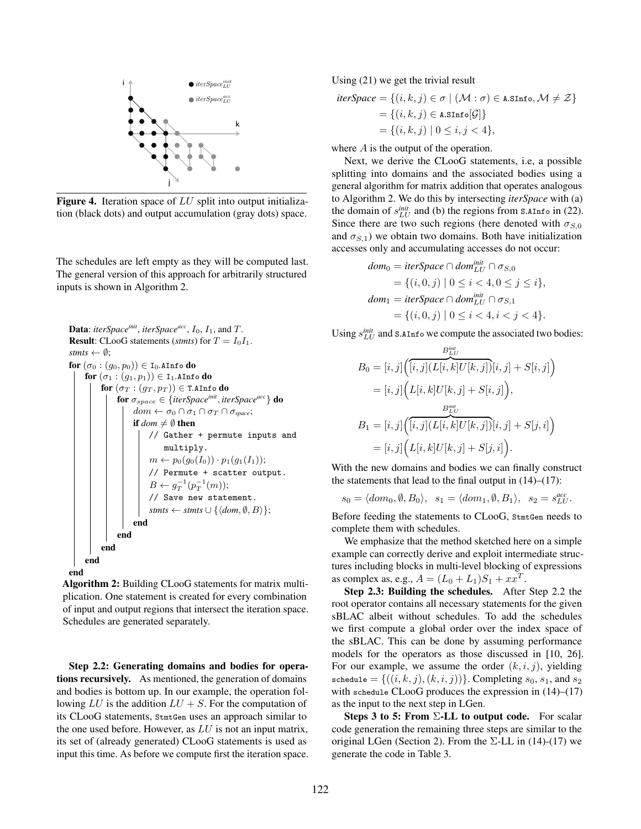

Figure 4. Iteration space of LU split into output initialization (black dots) and output accumulation (gray dots) space.

The schedules are left empty as they will be computed last. The general version of this approach for arbitrarily structured inputs is shown in Algorithm 2.

```
Data: iterSpace<sup>init</sup>, iterSpace<sup>acc</sup>, I<sub>0</sub>, I<sub>1</sub>, and T.
Result: CLooG statements (stmts) for T = I_0I_1.
stmts \leftarrow \emptyset;
for (\sigma_0 : (g_0, p_0)) \in I_0. AInfo do
     for (\sigma_1:(g_1,p_1))\in\mathtt{I}_1.AInfo do
           for (\sigma_T : (g_T, p_T)) \in T.AInfo do
                 for σspace ∈ {iterSpaceinit
, iterSpaceacc} do
                      dom \leftarrow \sigma_0 \cap \sigma_1 \cap \sigma_T \cap \sigma_{space};if dom \neq \emptyset then
                           // Gather + permute inputs and
                                 multiply.
                            m \leftarrow p_0(g_0(I_0)) \cdot p_1(g_1(I_1));// Permute + scatter output.
                            B \leftarrow g_T^{-1}(p_T^{-1}(m));// Save new statement.
                           stmts ← stmts \cup {\langledom, \emptyset, B\rangle};
                      end
                end
           end
     end
end
```
Algorithm 2: Building CLooG statements for matrix multiplication. One statement is created for every combination of input and output regions that intersect the iteration space. Schedules are generated separately.

Step 2.2: Generating domains and bodies for operations recursively. As mentioned, the generation of domains and bodies is bottom up. In our example, the operation following LU is the addition  $LU + S$ . For the computation of its CLooG statements, StmtGen uses an approach similar to the one used before. However, as  $LU$  is not an input matrix, its set of (already generated) CLooG statements is used as input this time. As before we compute first the iteration space. Using (21) we get the trivial result

$$
iterSpace = \{ (i, k, j) \in \sigma \mid (\mathcal{M} : \sigma) \in \text{A}.SInfo, \mathcal{M} \neq \mathcal{Z} \}
$$

$$
= \{ (i, k, j) \in \text{A}.SInfo[\mathcal{G}] \}
$$

$$
= \{ (i, k, j) \mid 0 \le i, j < 4 \},
$$

where A is the output of the operation.

Next, we derive the CLooG statements, i.e, a possible splitting into domains and the associated bodies using a general algorithm for matrix addition that operates analogous to Algorithm 2. We do this by intersecting *iterSpace* with (a) the domain of  $s_{LU}^{init}$  and (b) the regions from  $\text{s.AInfo}$  in (22). Since there are two such regions (here denoted with  $\sigma_{S,0}$ and  $\sigma_{S,1}$ ) we obtain two domains. Both have initialization accesses only and accumulating accesses do not occur:

$$
dom_0 = iterSpace \cap dom_{LU}^{init} \cap \sigma_{S,0}
$$
  
= { $(i, 0, j) | 0 \le i < 4, 0 \le j \le i$ },  

$$
dom_1 = iterSpace \cap dom_{LU}^{init} \cap \sigma_{S,1}
$$
  
= { $(i, 0, j) | 0 \le i < 4, i < j < 4$ }.

Using  $s_{LU}^{init}$  and s.AInfo we compute the associated two bodies:

$$
B_0 = [i, j] \left( \overline{[i, j] (L[i, k] U[k, j])} [i, j] + S[i, j] \right)
$$
  
\n
$$
= [i, j] \left( L[i, k] U[k, j] + S[i, j] \right),
$$
  
\n
$$
B_{\underline{L}U}^{\underline{B}_{\underline{L}U}^{\underline{int}}}
$$
  
\n
$$
B_1 = [i, j] \left( \overline{[i, j] (L[i, k] U[k, j])} [i, j] + S[j, i] \right)
$$
  
\n
$$
= [i, j] \left( L[i, k] U[k, j] + S[j, i] \right).
$$

With the new domains and bodies we can finally construct the statements that lead to the final output in  $(14)$ – $(17)$ :

$$
s_0 = \langle dom_0, \emptyset, B_0 \rangle, \quad s_1 = \langle dom_1, \emptyset, B_1 \rangle, \quad s_2 = s_{LU}^{acc}.
$$

Before feeding the statements to CLooG, StmtGen needs to complete them with schedules.

We emphasize that the method sketched here on a simple example can correctly derive and exploit intermediate structures including blocks in multi-level blocking of expressions as complex as, e.g.,  $A = (L_0 + L_1)S_1 + xx^T$ .

Step 2.3: Building the schedules. After Step 2.2 the root operator contains all necessary statements for the given sBLAC albeit without schedules. To add the schedules we first compute a global order over the index space of the sBLAC. This can be done by assuming performance models for the operators as those discussed in [10, 26]. For our example, we assume the order  $(k, i, j)$ , yielding schedule = { $((i, k, j), (k, i, j))$ }. Completing  $s_0, s_1$ , and  $s_2$ with schedule CLooG produces the expression in  $(14)$ – $(17)$ as the input to the next step in LGen.

Steps 3 to 5: From  $\Sigma$ -LL to output code. For scalar code generation the remaining three steps are similar to the original LGen (Section 2). From the  $\Sigma$ -LL in (14)-(17) we generate the code in Table 3.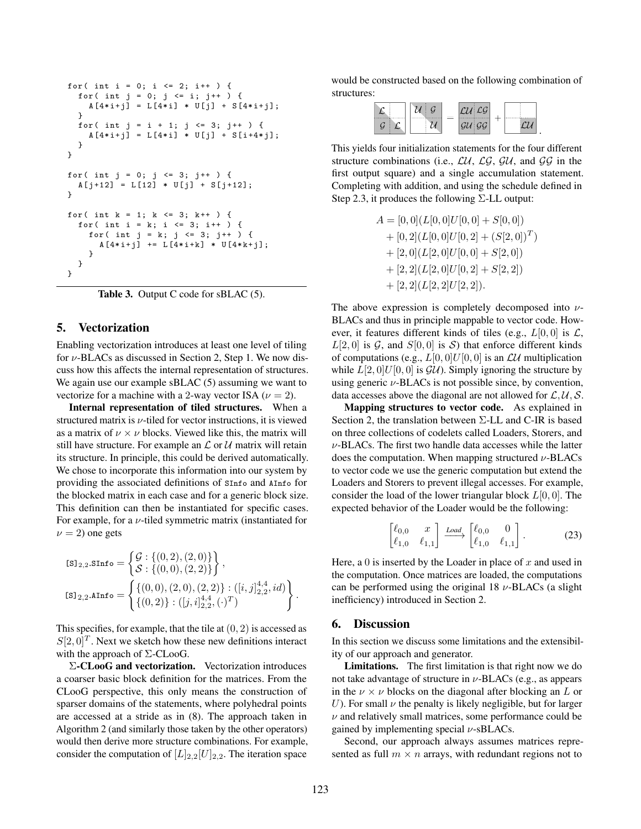```
for( int i = 0; i <= 2; i++ ) {
  for ( int j = 0; j \le i; j^{++} ) {
    A [4 * i + j] = L [4 * i] * U[j] + S [4 * i + j];}
  for( int j = i + 1; j <= 3; j++ ) {
    A [4 * i + j] = L [4 * i] * U[j] + S[i + 4 * j];}
}
for ( int j = 0; j \le 3; j^{++} ) {
  A[j+12] = L[12] * U[j] + S[j+12];}
for ( int k = 1; k \le 3; k++ ) {
  for ( int i = k; i <= 3; i++ ) {
    for ( int j = k; j \le 3; j^{++} ) {
      A [4 * i + j] += L [4 * i + k] * U [4 * k + j];
    }
  }
}
```
Table 3. Output C code for sBLAC  $(5)$ .

## 5. Vectorization

Enabling vectorization introduces at least one level of tiling for  $\nu$ -BLACs as discussed in Section 2, Step 1. We now discuss how this affects the internal representation of structures. We again use our example sBLAC (5) assuming we want to vectorize for a machine with a 2-way vector ISA ( $\nu = 2$ ).

Internal representation of tiled structures. When a structured matrix is  $\nu$ -tiled for vector instructions, it is viewed as a matrix of  $\nu \times \nu$  blocks. Viewed like this, the matrix will still have structure. For example an  $\mathcal L$  or  $\mathcal U$  matrix will retain its structure. In principle, this could be derived automatically. We chose to incorporate this information into our system by providing the associated definitions of SInfo and AInfo for the blocked matrix in each case and for a generic block size. This definition can then be instantiated for specific cases. For example, for a  $\nu$ -tiled symmetric matrix (instantiated for  $\nu = 2$ ) one gets

$$
\begin{aligned} &\texttt{[S]}_{2,2}.\texttt{SInfo} = \begin{Bmatrix} \mathcal{G}: \{(0,2),(2,0)\} \\ \mathcal{S}: \{(0,0),(2,2)\} \end{Bmatrix}, \\ &\texttt{[S]}_{2,2}.\texttt{AInfo} = \begin{Bmatrix} \{(0,0),(2,0),(2,2)\} : ([i,j]_{2,2}^{4,4},id) \\ \{(0,2)\} : ([j,i]_{2,2}^{4,4},(\cdot)^{T}) \end{Bmatrix}. \end{aligned}
$$

This specifies, for example, that the tile at  $(0, 2)$  is accessed as  $S[2,0]^T$ . Next we sketch how these new definitions interact with the approach of  $\Sigma$ -CLooG.

Σ-CLooG and vectorization. Vectorization introduces a coarser basic block definition for the matrices. From the CLooG perspective, this only means the construction of sparser domains of the statements, where polyhedral points are accessed at a stride as in (8). The approach taken in Algorithm 2 (and similarly those taken by the other operators) would then derive more structure combinations. For example, consider the computation of  $[L]_{2,2}[U]_{2,2}$ . The iteration space would be constructed based on the following combination of structures:

|  |  |  | $\mathcal{C}\mathcal{C}$ |  |  |  |
|--|--|--|--------------------------|--|--|--|
|--|--|--|--------------------------|--|--|--|

This yields four initialization statements for the four different structure combinations (i.e.,  $\mathcal{L}U$ ,  $\mathcal{L}\mathcal{G}$ ,  $\mathcal{G}U$ , and  $\mathcal{G}\mathcal{G}$  in the first output square) and a single accumulation statement. Completing with addition, and using the schedule defined in Step 2.3, it produces the following  $\Sigma$ -LL output:

$$
A = [0, 0](L[0, 0]U[0, 0] + S[0, 0])
$$
  
+ [0, 2](L[0, 0]U[0, 2] + (S[2, 0])<sup>T</sup>)  
+ [2, 0](L[2, 0]U[0, 0] + S[2, 0])  
+ [2, 2](L[2, 0]U[0, 2] + S[2, 2])  
+ [2, 2](L[2, 2]U[2, 2]).

The above expression is completely decomposed into  $\nu$ -BLACs and thus in principle mappable to vector code. However, it features different kinds of tiles (e.g.,  $L[0,0]$  is  $\mathcal{L}$ ,  $L[2, 0]$  is  $\mathcal{G}$ , and  $S[0, 0]$  is  $\mathcal{S}$ ) that enforce different kinds of computations (e.g.,  $L[0, 0]U[0, 0]$  is an  $\mathcal{L}U$  multiplication while  $L[2, 0]U[0, 0]$  is  $\mathcal{GU}$ . Simply ignoring the structure by using generic  $\nu$ -BLACs is not possible since, by convention, data accesses above the diagonal are not allowed for  $\mathcal{L}, \mathcal{U}, \mathcal{S}$ .

Mapping structures to vector code. As explained in Section 2, the translation between Σ-LL and C-IR is based on three collections of codelets called Loaders, Storers, and  $\nu$ -BLACs. The first two handle data accesses while the latter does the computation. When mapping structured  $\nu$ -BLACs to vector code we use the generic computation but extend the Loaders and Storers to prevent illegal accesses. For example, consider the load of the lower triangular block  $L[0, 0]$ . The expected behavior of the Loader would be the following:

$$
\begin{bmatrix} \ell_{0,0} & x \\ \ell_{1,0} & \ell_{1,1} \end{bmatrix} \xrightarrow{Load} \begin{bmatrix} \ell_{0,0} & 0 \\ \ell_{1,0} & \ell_{1,1} \end{bmatrix} . \tag{23}
$$

Here, a 0 is inserted by the Loader in place of  $x$  and used in the computation. Once matrices are loaded, the computations can be performed using the original 18  $\nu$ -BLACs (a slight inefficiency) introduced in Section 2.

#### 6. Discussion

In this section we discuss some limitations and the extensibility of our approach and generator.

Limitations. The first limitation is that right now we do not take advantage of structure in  $\nu$ -BLACs (e.g., as appears in the  $\nu \times \nu$  blocks on the diagonal after blocking an L or U). For small  $\nu$  the penalty is likely negligible, but for larger  $\nu$  and relatively small matrices, some performance could be gained by implementing special  $\nu$ -sBLACs.

Second, our approach always assumes matrices represented as full  $m \times n$  arrays, with redundant regions not to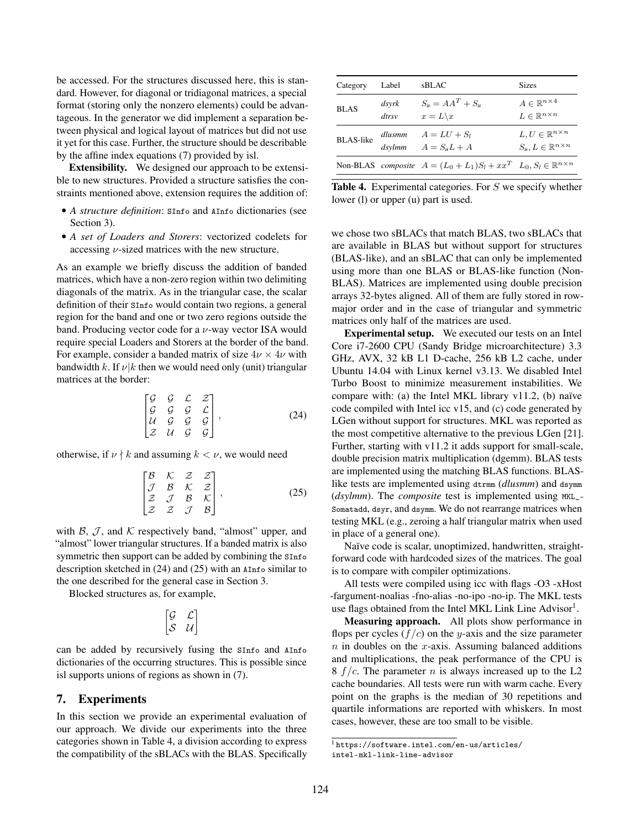be accessed. For the structures discussed here, this is standard. However, for diagonal or tridiagonal matrices, a special format (storing only the nonzero elements) could be advantageous. In the generator we did implement a separation between physical and logical layout of matrices but did not use it yet for this case. Further, the structure should be describable by the affine index equations (7) provided by isl.

Extensibility. We designed our approach to be extensible to new structures. Provided a structure satisfies the constraints mentioned above, extension requires the addition of:

- *A structure definition*: SInfo and AInfo dictionaries (see Section 3).
- *A set of Loaders and Storers*: vectorized codelets for accessing  $\nu$ -sized matrices with the new structure.

As an example we briefly discuss the addition of banded matrices, which have a non-zero region within two delimiting diagonals of the matrix. As in the triangular case, the scalar definition of their SInfo would contain two regions, a general region for the band and one or two zero regions outside the band. Producing vector code for a  $\nu$ -way vector ISA would require special Loaders and Storers at the border of the band. For example, consider a banded matrix of size  $4\nu \times 4\nu$  with bandwidth k. If  $\nu | k$  then we would need only (unit) triangular matrices at the border:

$$
\begin{bmatrix} G & G & C & Z \\ G & G & G & C \\ U & G & G & G \\ Z & U & G & G \end{bmatrix},\tag{24}
$$

otherwise, if  $\nu \nmid k$  and assuming  $k < \nu$ , we would need

$$
\begin{bmatrix}\nB & K & Z & Z \\
J & B & K & Z \\
Z & J & B & K \\
Z & Z & J & B\n\end{bmatrix},
$$
\n(25)

with  $\beta$ ,  $\mathcal{J}$ , and  $\mathcal{K}$  respectively band, "almost" upper, and "almost" lower triangular structures. If a banded matrix is also symmetric then support can be added by combining the  $sin$ fo description sketched in (24) and (25) with an AInfo similar to the one described for the general case in Section 3.

Blocked structures as, for example,

$$
\begin{bmatrix} \mathcal{G} & \mathcal{L} \\ \mathcal{S} & \mathcal{U} \end{bmatrix}
$$

can be added by recursively fusing the SInfo and AInfo dictionaries of the occurring structures. This is possible since isl supports unions of regions as shown in (7).

## 7. Experiments

In this section we provide an experimental evaluation of our approach. We divide our experiments into the three categories shown in Table 4, a division according to express the compatibility of the sBLACs with the BLAS. Specifically

| Category         | Label          | sBLAC                                                                                 | <b>Sizes</b>                                                               |
|------------------|----------------|---------------------------------------------------------------------------------------|----------------------------------------------------------------------------|
| <b>BLAS</b>      | dsyrk<br>dtrsv | $S_u = AA^T + S_u$<br>$x = L \backslash x$                                            | $A \in \mathbb{R}^{n \times 4}$<br>$L \in \mathbb{R}^{n \times n}$         |
| <b>BLAS-like</b> | dsylmm         | dlusmm $A = LU + S_1$<br>$A = S_u L + A$                                              | $L, U \in \mathbb{R}^{n \times n}$<br>$S_u, L \in \mathbb{R}^{n \times n}$ |
|                  |                | Non-BLAS composite $A = (L_0 + L_1)S_l + xx^T$ $L_0, S_l \in \mathbb{R}^{n \times n}$ |                                                                            |

Table 4. Experimental categories. For S we specify whether lower (l) or upper (u) part is used.

we chose two sBLACs that match BLAS, two sBLACs that are available in BLAS but without support for structures (BLAS-like), and an sBLAC that can only be implemented using more than one BLAS or BLAS-like function (Non-BLAS). Matrices are implemented using double precision arrays 32-bytes aligned. All of them are fully stored in rowmajor order and in the case of triangular and symmetric matrices only half of the matrices are used.

Experimental setup. We executed our tests on an Intel Core i7-2600 CPU (Sandy Bridge microarchitecture) 3.3 GHz, AVX, 32 kB L1 D-cache, 256 kB L2 cache, under Ubuntu 14.04 with Linux kernel v3.13. We disabled Intel Turbo Boost to minimize measurement instabilities. We compare with: (a) the Intel MKL library v11.2, (b) naïve code compiled with Intel icc v15, and (c) code generated by LGen without support for structures. MKL was reported as the most competitive alternative to the previous LGen [21]. Further, starting with v11.2 it adds support for small-scale, double precision matrix multiplication (dgemm). BLAS tests are implemented using the matching BLAS functions. BLASlike tests are implemented using dtrmm (*dlusmm*) and dsymm (*dsylmm*). The *composite* test is implemented using MKL\_- Somatadd, dsyr, and dsymm. We do not rearrange matrices when testing MKL (e.g., zeroing a half triangular matrix when used in place of a general one).

Naïve code is scalar, unoptimized, handwritten, straightforward code with hardcoded sizes of the matrices. The goal is to compare with compiler optimizations.

All tests were compiled using icc with flags -O3 -xHost -fargument-noalias -fno-alias -no-ipo -no-ip. The MKL tests use flags obtained from the Intel MKL Link Line Advisor<sup>1</sup>.

Measuring approach. All plots show performance in flops per cycles  $(f/c)$  on the y-axis and the size parameter  $n$  in doubles on the x-axis. Assuming balanced additions and multiplications, the peak performance of the CPU is 8  $f/c$ . The parameter *n* is always increased up to the L2 cache boundaries. All tests were run with warm cache. Every point on the graphs is the median of 30 repetitions and quartile informations are reported with whiskers. In most cases, however, these are too small to be visible.

<sup>1</sup> https://software.intel.com/en-us/articles/ intel-mkl-link-line-advisor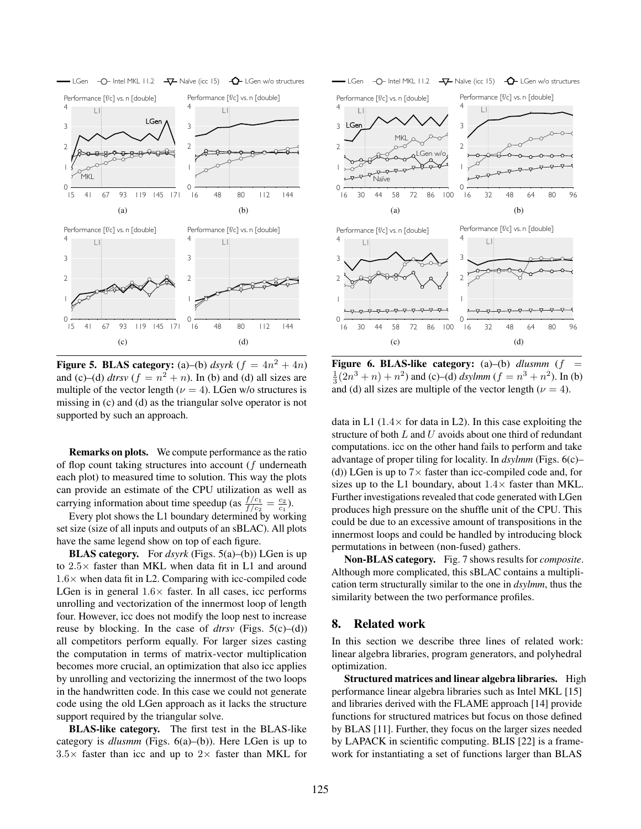

Figure 5. BLAS category: (a)–(b)  $dsyrk$  ( $f = 4n^2 + 4n$ ) and (c)–(d)  $d$ *trsv* ( $f = n^2 + n$ ). In (b) and (d) all sizes are multiple of the vector length ( $\nu = 4$ ). LGen w/o structures is missing in (c) and (d) as the triangular solve operator is not supported by such an approach.

Remarks on plots. We compute performance as the ratio of flop count taking structures into account (f underneath each plot) to measured time to solution. This way the plots can provide an estimate of the CPU utilization as well as carrying information about time speedup (as  $\frac{f/c_1}{f/c_2} = \frac{c_2}{c_1}$ ).

Every plot shows the L1 boundary determined by working set size (size of all inputs and outputs of an sBLAC). All plots have the same legend show on top of each figure.

BLAS category. For *dsyrk* (Figs. 5(a)–(b)) LGen is up to  $2.5\times$  faster than MKL when data fit in L1 and around  $1.6\times$  when data fit in L2. Comparing with icc-compiled code LGen is in general  $1.6\times$  faster. In all cases, icc performs unrolling and vectorization of the innermost loop of length four. However, icc does not modify the loop nest to increase reuse by blocking. In the case of *dtrsv* (Figs. 5(c)–(d)) all competitors perform equally. For larger sizes casting the computation in terms of matrix-vector multiplication becomes more crucial, an optimization that also icc applies by unrolling and vectorizing the innermost of the two loops in the handwritten code. In this case we could not generate code using the old LGen approach as it lacks the structure support required by the triangular solve.

BLAS-like category. The first test in the BLAS-like category is *dlusmm* (Figs. 6(a)–(b)). Here LGen is up to  $3.5\times$  faster than icc and up to  $2\times$  faster than MKL for



Figure 6. BLAS-like category: (a)–(b) *dlusmm* (f  $\frac{1}{3}(2n^3 + n) + n^2$ ) and (c)–(d) *dsylmm* ( $f = n^3 + n^2$ ). In (b) and (d) all sizes are multiple of the vector length ( $\nu = 4$ ).

data in L1  $(1.4 \times$  for data in L2). In this case exploiting the structure of both  $L$  and  $U$  avoids about one third of redundant computations. icc on the other hand fails to perform and take advantage of proper tiling for locality. In *dsylmm* (Figs. 6(c)– (d)) LGen is up to  $7\times$  faster than icc-compiled code and, for sizes up to the L1 boundary, about  $1.4\times$  faster than MKL. Further investigations revealed that code generated with LGen produces high pressure on the shuffle unit of the CPU. This could be due to an excessive amount of transpositions in the innermost loops and could be handled by introducing block permutations in between (non-fused) gathers.

Non-BLAS category. Fig. 7 shows results for *composite*. Although more complicated, this sBLAC contains a multiplication term structurally similar to the one in *dsylmm*, thus the similarity between the two performance profiles.

#### 8. Related work

In this section we describe three lines of related work: linear algebra libraries, program generators, and polyhedral optimization.

Structured matrices and linear algebra libraries. High performance linear algebra libraries such as Intel MKL [15] and libraries derived with the FLAME approach [14] provide functions for structured matrices but focus on those defined by BLAS [11]. Further, they focus on the larger sizes needed by LAPACK in scientific computing. BLIS [22] is a framework for instantiating a set of functions larger than BLAS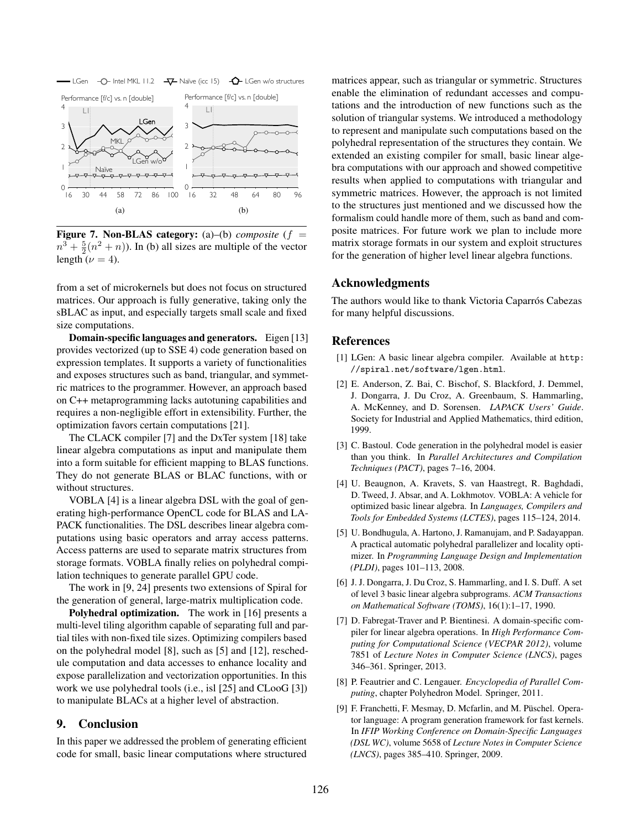

**Figure 7. Non-BLAS category:** (a)–(b) *composite* ( $f =$  $n^3 + \frac{5}{2}(n^2 + n)$ ). In (b) all sizes are multiple of the vector length ( $\nu = 4$ ).

from a set of microkernels but does not focus on structured matrices. Our approach is fully generative, taking only the sBLAC as input, and especially targets small scale and fixed size computations.

Domain-specific languages and generators. Eigen [13] provides vectorized (up to SSE 4) code generation based on expression templates. It supports a variety of functionalities and exposes structures such as band, triangular, and symmetric matrices to the programmer. However, an approach based on C++ metaprogramming lacks autotuning capabilities and requires a non-negligible effort in extensibility. Further, the optimization favors certain computations [21].

The CLACK compiler [7] and the DxTer system [18] take linear algebra computations as input and manipulate them into a form suitable for efficient mapping to BLAS functions. They do not generate BLAS or BLAC functions, with or without structures.

VOBLA [4] is a linear algebra DSL with the goal of generating high-performance OpenCL code for BLAS and LA-PACK functionalities. The DSL describes linear algebra computations using basic operators and array access patterns. Access patterns are used to separate matrix structures from storage formats. VOBLA finally relies on polyhedral compilation techniques to generate parallel GPU code.

The work in [9, 24] presents two extensions of Spiral for the generation of general, large-matrix multiplication code.

Polyhedral optimization. The work in [16] presents a multi-level tiling algorithm capable of separating full and partial tiles with non-fixed tile sizes. Optimizing compilers based on the polyhedral model [8], such as [5] and [12], reschedule computation and data accesses to enhance locality and expose parallelization and vectorization opportunities. In this work we use polyhedral tools (i.e., isl [25] and CLooG [3]) to manipulate BLACs at a higher level of abstraction.

# 9. Conclusion

In this paper we addressed the problem of generating efficient code for small, basic linear computations where structured matrices appear, such as triangular or symmetric. Structures enable the elimination of redundant accesses and computations and the introduction of new functions such as the solution of triangular systems. We introduced a methodology to represent and manipulate such computations based on the polyhedral representation of the structures they contain. We extended an existing compiler for small, basic linear algebra computations with our approach and showed competitive results when applied to computations with triangular and symmetric matrices. However, the approach is not limited to the structures just mentioned and we discussed how the formalism could handle more of them, such as band and composite matrices. For future work we plan to include more matrix storage formats in our system and exploit structures for the generation of higher level linear algebra functions.

# Acknowledgments

The authors would like to thank Victoria Caparrós Cabezas for many helpful discussions.

# References

- [1] LGen: A basic linear algebra compiler. Available at http: //spiral.net/software/lgen.html.
- [2] E. Anderson, Z. Bai, C. Bischof, S. Blackford, J. Demmel, J. Dongarra, J. Du Croz, A. Greenbaum, S. Hammarling, A. McKenney, and D. Sorensen. *LAPACK Users' Guide*. Society for Industrial and Applied Mathematics, third edition, 1999.
- [3] C. Bastoul. Code generation in the polyhedral model is easier than you think. In *Parallel Architectures and Compilation Techniques (PACT)*, pages 7–16, 2004.
- [4] U. Beaugnon, A. Kravets, S. van Haastregt, R. Baghdadi, D. Tweed, J. Absar, and A. Lokhmotov. VOBLA: A vehicle for optimized basic linear algebra. In *Languages, Compilers and Tools for Embedded Systems (LCTES)*, pages 115–124, 2014.
- [5] U. Bondhugula, A. Hartono, J. Ramanujam, and P. Sadayappan. A practical automatic polyhedral parallelizer and locality optimizer. In *Programming Language Design and Implementation (PLDI)*, pages 101–113, 2008.
- [6] J. J. Dongarra, J. Du Croz, S. Hammarling, and I. S. Duff. A set of level 3 basic linear algebra subprograms. *ACM Transactions on Mathematical Software (TOMS)*, 16(1):1–17, 1990.
- [7] D. Fabregat-Traver and P. Bientinesi. A domain-specific compiler for linear algebra operations. In *High Performance Computing for Computational Science (VECPAR 2012)*, volume 7851 of *Lecture Notes in Computer Science (LNCS)*, pages 346–361. Springer, 2013.
- [8] P. Feautrier and C. Lengauer. *Encyclopedia of Parallel Computing*, chapter Polyhedron Model. Springer, 2011.
- [9] F. Franchetti, F. Mesmay, D. Mcfarlin, and M. Püschel. Operator language: A program generation framework for fast kernels. In *IFIP Working Conference on Domain-Specific Languages (DSL WC)*, volume 5658 of *Lecture Notes in Computer Science (LNCS)*, pages 385–410. Springer, 2009.